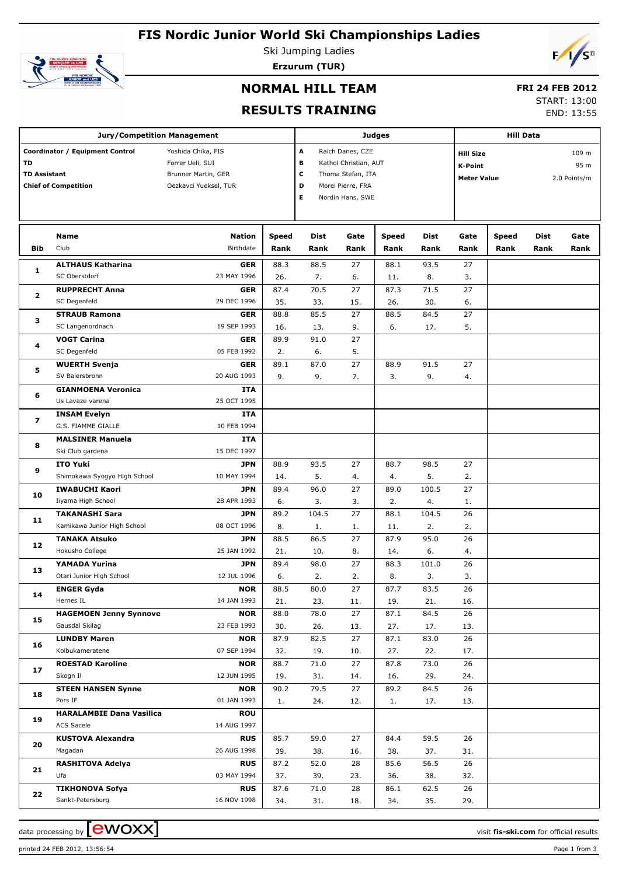## **FIS Nordic Junior World Ski Championships Ladies**



Ski Jumping Ladies **Erzurum (TUR)**

 $F/1/s^{\circ}$ 

## **NORMAL HILL TEAM**

### **FRI 24 FEB 2012**

**RESULTS TRAINING**

START: 13:00 END: 13:55

|                                                                                             | <b>Jury/Competition Management</b>            |                                                                                        |                       | <b>Judges</b>                                                                                           | <b>Hill Data</b> |                                                                          |                     |              |               |                     |              |
|---------------------------------------------------------------------------------------------|-----------------------------------------------|----------------------------------------------------------------------------------------|-----------------------|---------------------------------------------------------------------------------------------------------|------------------|--------------------------------------------------------------------------|---------------------|--------------|---------------|---------------------|--------------|
| Coordinator / Equipment Control<br>TD<br><b>TD Assistant</b><br><b>Chief of Competition</b> |                                               | Yoshida Chika, FIS<br>Forrer Ueli, SUI<br>Brunner Martin, GER<br>Oezkavci Yueksel, TUR | A<br>В<br>c<br>D<br>Е | Raich Danes, CZE<br>Kathol Christian, AUT<br>Thoma Stefan, ITA<br>Morel Pierre, FRA<br>Nordin Hans, SWE |                  | <b>Hill Size</b><br><b>K-Point</b><br>2.0 Points/m<br><b>Meter Value</b> |                     |              | 109 m<br>95 m |                     |              |
| <b>Bib</b>                                                                                  | <b>Name</b><br>Club                           | <b>Nation</b><br>Birthdate                                                             | <b>Speed</b><br>Rank  | <b>Dist</b><br>Rank                                                                                     | Gate<br>Rank     | <b>Speed</b><br>Rank                                                     | <b>Dist</b><br>Rank | Gate<br>Rank | Speed<br>Rank | <b>Dist</b><br>Rank | Gate<br>Rank |
|                                                                                             | <b>ALTHAUS Katharina</b>                      | <b>GER</b>                                                                             | 88.3                  | 88.5                                                                                                    | 27               | 88.1                                                                     | 93.5                | 27           |               |                     |              |
| 1                                                                                           | SC Oberstdorf                                 | 23 MAY 1996                                                                            | 26.                   | 7.                                                                                                      | 6.               | 11.                                                                      | 8.                  | 3.           |               |                     |              |
|                                                                                             | <b>RUPPRECHT Anna</b>                         | <b>GER</b>                                                                             | 87.4                  | 70.5                                                                                                    | 27               | 87.3                                                                     | 71.5                | 27           |               |                     |              |
| $\overline{2}$                                                                              | SC Degenfeld                                  | 29 DEC 1996                                                                            | 35.                   | 33.                                                                                                     | 15.              | 26.                                                                      | 30.                 | 6.           |               |                     |              |
| 3                                                                                           | <b>STRAUB Ramona</b>                          | <b>GER</b>                                                                             | 88.8                  | 85.5                                                                                                    | 27               | 88.5                                                                     | 84.5                | 27           |               |                     |              |
|                                                                                             | SC Langenordnach                              | 19 SEP 1993                                                                            | 16.                   | 13.                                                                                                     | 9.               | 6.                                                                       | 17.                 | 5.           |               |                     |              |
| 4                                                                                           | <b>VOGT Carina</b>                            | <b>GER</b>                                                                             | 89.9                  | 91.0                                                                                                    | 27               |                                                                          |                     |              |               |                     |              |
|                                                                                             | SC Degenfeld                                  | 05 FEB 1992                                                                            | 2.                    | 6.                                                                                                      | 5.               |                                                                          |                     |              |               |                     |              |
| 5                                                                                           | <b>WUERTH Svenja</b>                          | <b>GER</b>                                                                             | 89.1                  | 87.0                                                                                                    | 27               | 88.9                                                                     | 91.5                | 27           |               |                     |              |
|                                                                                             | SV Baiersbronn                                | 20 AUG 1993                                                                            | 9.                    | 9.                                                                                                      | 7.               | 3.                                                                       | 9.                  | 4.           |               |                     |              |
| 6                                                                                           | <b>GIANMOENA Veronica</b>                     | ITA                                                                                    |                       |                                                                                                         |                  |                                                                          |                     |              |               |                     |              |
|                                                                                             | Us Lavaze varena                              | 25 OCT 1995                                                                            |                       |                                                                                                         |                  |                                                                          |                     |              |               |                     |              |
| $\overline{\mathbf{z}}$                                                                     | <b>INSAM Evelyn</b><br>G.S. FIAMME GIALLE     | ITA<br>10 FEB 1994                                                                     |                       |                                                                                                         |                  |                                                                          |                     |              |               |                     |              |
|                                                                                             | <b>MALSINER Manuela</b>                       | ITA                                                                                    |                       |                                                                                                         |                  |                                                                          |                     |              |               |                     |              |
| 8                                                                                           | Ski Club gardena                              | 15 DEC 1997                                                                            |                       |                                                                                                         |                  |                                                                          |                     |              |               |                     |              |
|                                                                                             | <b>ITO Yuki</b>                               | <b>JPN</b>                                                                             | 88.9                  | 93.5                                                                                                    | 27               | 88.7                                                                     | 98.5                | 27           |               |                     |              |
| 9                                                                                           | Shimokawa Syogyo High School                  | 10 MAY 1994                                                                            | 14.                   | 5.                                                                                                      | 4.               | 4.                                                                       | 5.                  | 2.           |               |                     |              |
|                                                                                             | <b>IWABUCHI Kaori</b>                         | <b>JPN</b>                                                                             | 89.4                  | 96.0                                                                                                    | 27               | 89.0                                                                     | 100.5               | 27           |               |                     |              |
| 10                                                                                          | Iiyama High School                            | 28 APR 1993                                                                            | 6.                    | 3.                                                                                                      | 3.               | 2.                                                                       | 4.                  | 1.           |               |                     |              |
|                                                                                             | <b>TAKANASHI Sara</b>                         | <b>JPN</b>                                                                             | 89.2                  | 104.5                                                                                                   | 27               | 88.1                                                                     | 104.5               | 26           |               |                     |              |
| 11                                                                                          | Kamikawa Junior High School                   | 08 OCT 1996                                                                            | 8.                    | 1.                                                                                                      | 1.               | 11.                                                                      | 2.                  | 2.           |               |                     |              |
|                                                                                             | <b>TANAKA Atsuko</b>                          | <b>JPN</b>                                                                             | 88.5                  | 86.5                                                                                                    | 27               | 87.9                                                                     | 95.0                | 26           |               |                     |              |
| 12                                                                                          | Hokusho College                               | 25 JAN 1992                                                                            | 21.                   | 10.                                                                                                     | 8.               | 14.                                                                      | 6.                  | 4.           |               |                     |              |
| 13                                                                                          | YAMADA Yurina                                 | <b>JPN</b>                                                                             | 89.4                  | 98.0                                                                                                    | 27               | 88.3                                                                     | 101.0               | 26           |               |                     |              |
|                                                                                             | Otari Junior High School                      | 12 JUL 1996                                                                            | 6.                    | 2.                                                                                                      | 2.               | 8.                                                                       | 3.                  | 3.           |               |                     |              |
| 14                                                                                          | <b>ENGER Gyda</b>                             | <b>NOR</b>                                                                             | 88.5                  | 80.0                                                                                                    | 27               | 87.7                                                                     | 83.5                | 26           |               |                     |              |
|                                                                                             | Hernes IL                                     | 14 JAN 1993                                                                            | 21.                   | 23.                                                                                                     | 11.              | 19.                                                                      | 21.                 | 16.          |               |                     |              |
| 15                                                                                          | <b>HAGEMOEN Jenny Synnove</b>                 | <b>NOR</b>                                                                             | 88.0                  | 78.0                                                                                                    | 27               | 87.1                                                                     | 84.5                | 26           |               |                     |              |
|                                                                                             | Gausdal Skilag                                | 23 FEB 1993                                                                            | 30.                   | 26.                                                                                                     | 13.              | 27.                                                                      | 17.                 | 13.          |               |                     |              |
| 16                                                                                          | <b>LUNDBY Maren</b><br>Kolbukameratene        | <b>NOR</b><br>07 SEP 1994                                                              | 87.9                  | 82.5                                                                                                    | 27               | 87.1                                                                     | 83.0                | 26           |               |                     |              |
|                                                                                             | <b>ROESTAD Karoline</b>                       | <b>NOR</b>                                                                             | 32.<br>88.7           | 19.<br>71.0                                                                                             | 10.<br>27        | 27.<br>87.8                                                              | 22.<br>73.0         | 17.<br>26    |               |                     |              |
| 17                                                                                          | Skogn Il                                      | 12 JUN 1995                                                                            | 19.                   | 31.                                                                                                     | 14.              | 16.                                                                      | 29.                 | 24.          |               |                     |              |
|                                                                                             | <b>STEEN HANSEN Synne</b>                     | <b>NOR</b>                                                                             | 90.2                  | 79.5                                                                                                    | 27               | 89.2                                                                     | 84.5                | 26           |               |                     |              |
| 18                                                                                          | Pors IF                                       | 01 JAN 1993                                                                            | 1.                    | 24.                                                                                                     | 12.              | 1.                                                                       | 17.                 | 13.          |               |                     |              |
| 19                                                                                          | <b>HARALAMBIE Dana Vasilica</b><br>ACS Sacele | <b>ROU</b><br>14 AUG 1997                                                              |                       |                                                                                                         |                  |                                                                          |                     |              |               |                     |              |
|                                                                                             | <b>KUSTOVA Alexandra</b>                      | <b>RUS</b>                                                                             | 85.7                  | 59.0                                                                                                    | 27               | 84.4                                                                     | 59.5                | 26           |               |                     |              |
| 20                                                                                          | Magadan                                       | 26 AUG 1998                                                                            | 39.                   | 38.                                                                                                     | 16.              | 38.                                                                      | 37.                 | 31.          |               |                     |              |
|                                                                                             | <b>RASHITOVA Adelya</b>                       | <b>RUS</b>                                                                             | 87.2                  | 52.0                                                                                                    | 28               | 85.6                                                                     | 56.5                | 26           |               |                     |              |
| 21                                                                                          | Ufa                                           | 03 MAY 1994                                                                            | 37.                   | 39.                                                                                                     | 23.              | 36.                                                                      | 38.                 | 32.          |               |                     |              |
|                                                                                             | <b>TIKHONOVA Sofya</b>                        | <b>RUS</b>                                                                             | 87.6                  | 71.0                                                                                                    | 28               | 86.1                                                                     | 62.5                | 26           |               |                     |              |
| 22                                                                                          | Sankt-Petersburg                              | 16 NOV 1998                                                                            | 34.                   | 31.                                                                                                     | 18.              | 34.                                                                      | 35.                 | 29.          |               |                     |              |

printed 24 FEB 2012, 13:56:54 Page 1 from 3

data processing by **CWOXX**  $\blacksquare$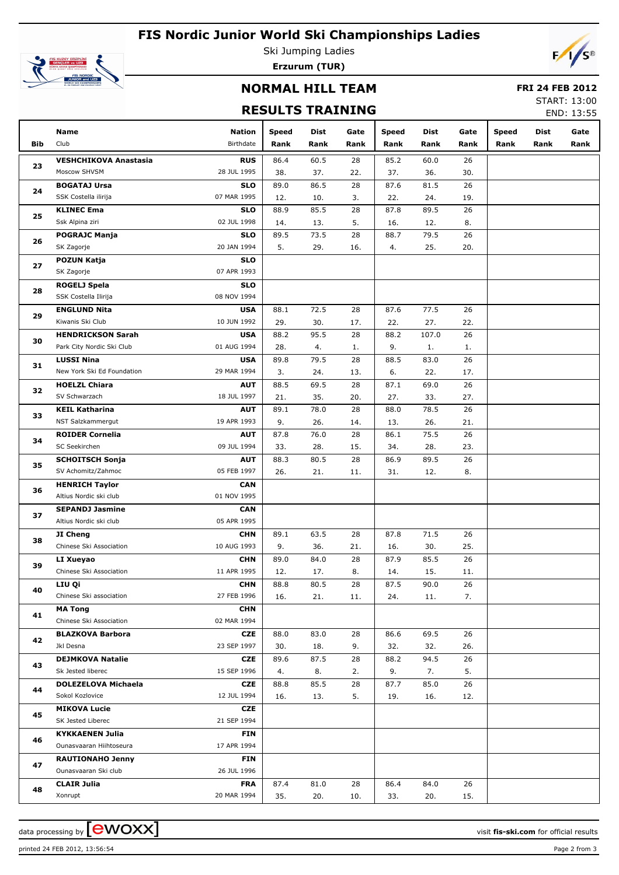## **FIS Nordic Junior World Ski Championships Ladies**



Ski Jumping Ladies **Erzurum (TUR)**

#### **NORMAL HILL TEAM**

#### **FRI 24 FEB 2012**

#### **RESULTS TRAINING**

START: 13:00 END: 13:55

|     | Name<br><b>Nation</b>                        |                           | <b>Speed</b> | Dist        | Gate            | <b>Speed</b> | Dist        | Gate            | <b>Speed</b> | Dist | Gate |
|-----|----------------------------------------------|---------------------------|--------------|-------------|-----------------|--------------|-------------|-----------------|--------------|------|------|
| Bib | Club                                         | Birthdate                 | Rank         | Rank        | Rank            | Rank         | Rank        | Rank            | Rank         | Rank | Rank |
|     |                                              |                           |              |             |                 |              |             |                 |              |      |      |
| 23  | <b>VESHCHIKOVA Anastasia</b><br>Moscow SHVSM | <b>RUS</b><br>28 JUL 1995 | 86.4         | 60.5        | 28              | 85.2         | 60.0        | 26              |              |      |      |
|     | <b>BOGATAJ Ursa</b>                          | <b>SLO</b>                | 38.<br>89.0  | 37.<br>86.5 | 22.<br>28       | 37.<br>87.6  | 36.<br>81.5 | 30.<br>26       |              |      |      |
| 24  | SSK Costella ilirija                         | 07 MAR 1995               | 12.          | 10.         | 3.              | 22.          | 24.         | 19.             |              |      |      |
|     | <b>KLINEC Ema</b>                            | <b>SLO</b>                | 88.9         | 85.5        | 28              | 87.8         | 89.5        | 26              |              |      |      |
| 25  | Ssk Alpina ziri                              | 02 JUL 1998               | 14.          | 13.         | 5.              | 16.          | 12.         | 8.              |              |      |      |
|     | <b>POGRAJC Manja</b>                         | <b>SLO</b>                | 89.5         | 73.5        | 28              | 88.7         | 79.5        | 26              |              |      |      |
| 26  | SK Zagorje                                   | 20 JAN 1994               | 5.           | 29.         | 16.             | 4.           | 25.         | 20.             |              |      |      |
|     | <b>POZUN Katja</b>                           | <b>SLO</b>                |              |             |                 |              |             |                 |              |      |      |
| 27  | SK Zagorje                                   | 07 APR 1993               |              |             |                 |              |             |                 |              |      |      |
| 28  | ROGELJ Spela                                 | <b>SLO</b>                |              |             |                 |              |             |                 |              |      |      |
|     | SSK Costella Ilirija                         | 08 NOV 1994               |              |             |                 |              |             |                 |              |      |      |
| 29  | <b>ENGLUND Nita</b>                          | <b>USA</b>                | 88.1         | 72.5        | 28              | 87.6         | 77.5        | 26              |              |      |      |
|     | Kiwanis Ski Club                             | 10 JUN 1992               | 29.          | 30.         | 17.             | 22.          | 27.         | 22.             |              |      |      |
| 30  | <b>HENDRICKSON Sarah</b>                     | <b>USA</b>                | 88.2         | 95.5        | 28              | 88.2         | 107.0       | 26              |              |      |      |
|     | Park City Nordic Ski Club                    | 01 AUG 1994               | 28.          | 4.          | 1.              | 9.           | 1.          | 1.              |              |      |      |
| 31  | <b>LUSSI Nina</b>                            | <b>USA</b>                | 89.8         | 79.5        | 28              | 88.5         | 83.0        | 26              |              |      |      |
|     | New York Ski Ed Foundation                   | 29 MAR 1994               | 3.           | 24.         | 13.             | 6.           | 22.         | 17.             |              |      |      |
| 32  | <b>HOELZL Chiara</b><br>SV Schwarzach        | <b>AUT</b><br>18 JUL 1997 | 88.5         | 69.5        | 28              | 87.1         | 69.0        | 26              |              |      |      |
|     | <b>KEIL Katharina</b>                        | <b>AUT</b>                | 21.<br>89.1  | 35.<br>78.0 | 20.<br>28       | 27.<br>88.0  | 33.<br>78.5 | 27.<br>26       |              |      |      |
| 33  | NST Salzkammergut                            | 19 APR 1993               | 9.           | 26.         | 14.             | 13.          | 26.         | 21.             |              |      |      |
|     | <b>ROIDER Cornelia</b>                       | <b>AUT</b>                | 87.8         | 76.0        | 28              | 86.1         | 75.5        | 26              |              |      |      |
| 34  | SC Seekirchen                                | 09 JUL 1994               | 33.          | 28.         | 15.             | 34.          | 28.         | 23.             |              |      |      |
| 35  | <b>SCHOITSCH Sonja</b>                       | <b>AUT</b>                | 88.3         | 80.5        | 28              | 86.9         | 89.5        | 26              |              |      |      |
|     | SV Achomitz/Zahmoc                           | 05 FEB 1997               | 26.          | 21.         | 11.             | 31.          | 12.         | 8.              |              |      |      |
|     | <b>HENRICH Taylor</b>                        | <b>CAN</b>                |              |             |                 |              |             |                 |              |      |      |
| 36  | Altius Nordic ski club                       | 01 NOV 1995               |              |             |                 |              |             |                 |              |      |      |
|     | <b>SEPANDJ Jasmine</b>                       | <b>CAN</b>                |              |             |                 |              |             |                 |              |      |      |
| 37  | Altius Nordic ski club                       | 05 APR 1995               |              |             |                 |              |             |                 |              |      |      |
| 38  | JI Cheng                                     | <b>CHN</b>                | 89.1         | 63.5        | 28              | 87.8         | 71.5        | 26              |              |      |      |
|     | Chinese Ski Association                      | 10 AUG 1993               | 9.           | 36.         | 21.             | 16.          | 30.         | 25.             |              |      |      |
| 39  | LI Xueyao                                    | <b>CHN</b>                | 89.0         | 84.0        | 28              | 87.9         | 85.5        | 26              |              |      |      |
|     | Chinese Ski Association                      | 11 APR 1995               | 12.          | 17.         | 8.              | 14.          | 15.         | 11.             |              |      |      |
| 40  | LIU Qi                                       | <b>CHN</b>                | 88.8         | 80.5        | $\overline{28}$ | 87.5         | 90.0        | $\overline{26}$ |              |      |      |
|     | Chinese Ski association                      | 27 FEB 1996               | 16.          | 21.         | 11.             | 24.          | 11.         | 7.              |              |      |      |
| 41  | <b>MA Tong</b><br>Chinese Ski Association    | <b>CHN</b><br>02 MAR 1994 |              |             |                 |              |             |                 |              |      |      |
|     | <b>BLAZKOVA Barbora</b>                      | CZE                       | 88.0         | 83.0        | 28              | 86.6         | 69.5        | 26              |              |      |      |
| 42  | Jkl Desna                                    | 23 SEP 1997               | 30.          | 18.         | 9.              | 32.          | 32.         | 26.             |              |      |      |
|     | <b>DEJMKOVA Natalie</b>                      | CZE                       | 89.6         | 87.5        | 28              | 88.2         | 94.5        | 26              |              |      |      |
| 43  | Sk Jested liberec                            | 15 SEP 1996               | 4.           | 8.          | 2.              | 9.           | 7.          | 5.              |              |      |      |
|     | <b>DOLEZELOVA Michaela</b>                   | CZE                       | 88.8         | 85.5        | 28              | 87.7         | 85.0        | 26              |              |      |      |
| 44  | Sokol Kozlovice                              | 12 JUL 1994               | 16.          | 13.         | 5.              | 19.          | 16.         | 12.             |              |      |      |
|     | <b>MIKOVA Lucie</b>                          | <b>CZE</b>                |              |             |                 |              |             |                 |              |      |      |
| 45  | SK Jested Liberec                            | 21 SEP 1994               |              |             |                 |              |             |                 |              |      |      |
|     | <b>KYKKAENEN Julia</b>                       | <b>FIN</b>                |              |             |                 |              |             |                 |              |      |      |
| 46  | Ounasvaaran Hiihtoseura                      | 17 APR 1994               |              |             |                 |              |             |                 |              |      |      |
| 47  | <b>RAUTIONAHO Jenny</b>                      | <b>FIN</b>                |              |             |                 |              |             |                 |              |      |      |
|     | Ounasvaaran Ski club                         | 26 JUL 1996               |              |             |                 |              |             |                 |              |      |      |
| 48  | <b>CLAIR Julia</b>                           | <b>FRA</b>                | 87.4         | 81.0        | 28              | 86.4         | 84.0        | 26              |              |      |      |
|     | Xonrupt                                      | 20 MAR 1994               | 35.          | 20.         | 10.             | 33.          | 20.         | 15.             |              |      |      |

data processing by **CWOXX**  $\blacksquare$  and  $\blacksquare$  and  $\blacksquare$  and  $\blacksquare$  and  $\blacksquare$  and  $\blacksquare$  and  $\blacksquare$  and  $\blacksquare$  and  $\blacksquare$  and  $\blacksquare$  and  $\blacksquare$  and  $\blacksquare$  and  $\blacksquare$  and  $\blacksquare$  and  $\blacksquare$  and  $\blacksquare$  and  $\blacksquare$  and  $\blacksquare$  a